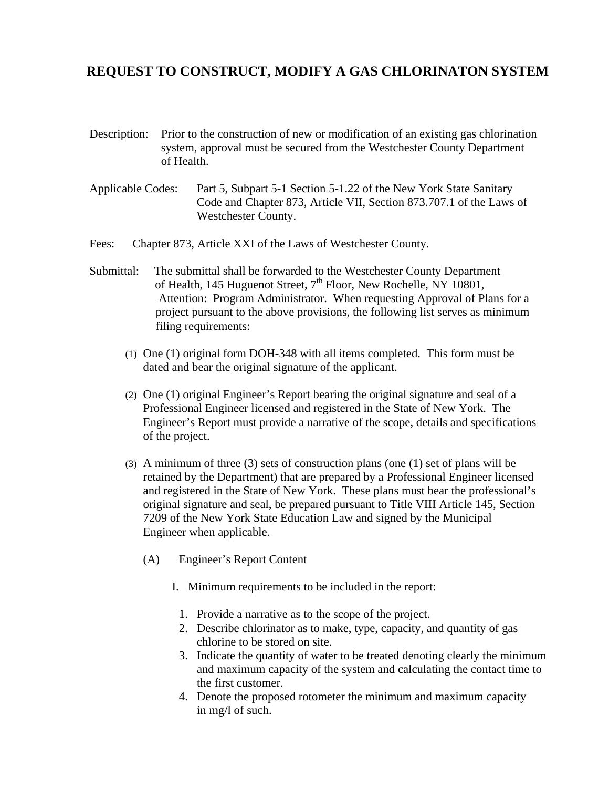## **REQUEST TO CONSTRUCT, MODIFY A GAS CHLORINATON SYSTEM**

- Description: Prior to the construction of new or modification of an existing gas chlorination system, approval must be secured from the Westchester County Department of Health.
- Applicable Codes: Part 5, Subpart 5-1 Section 5-1.22 of the New York State Sanitary Code and Chapter 873, Article VII, Section 873.707.1 of the Laws of Westchester County.
- Fees: Chapter 873, Article XXI of the Laws of Westchester County.
- Submittal: The submittal shall be forwarded to the Westchester County Department of Health, 145 Huguenot Street,  $7<sup>th</sup>$  Floor, New Rochelle, NY 10801, Attention: Program Administrator. When requesting Approval of Plans for a project pursuant to the above provisions, the following list serves as minimum filing requirements:
	- (1) One (1) original form DOH-348 with all items completed. This form must be dated and bear the original signature of the applicant.
	- (2) One (1) original Engineer's Report bearing the original signature and seal of a Professional Engineer licensed and registered in the State of New York. The Engineer's Report must provide a narrative of the scope, details and specifications of the project.
	- (3) A minimum of three (3) sets of construction plans (one (1) set of plans will be retained by the Department) that are prepared by a Professional Engineer licensed and registered in the State of New York. These plans must bear the professional's original signature and seal, be prepared pursuant to Title VIII Article 145, Section 7209 of the New York State Education Law and signed by the Municipal Engineer when applicable.
		- (A) Engineer's Report Content
			- I. Minimum requirements to be included in the report:
				- 1. Provide a narrative as to the scope of the project.
				- 2. Describe chlorinator as to make, type, capacity, and quantity of gas chlorine to be stored on site.
				- 3. Indicate the quantity of water to be treated denoting clearly the minimum and maximum capacity of the system and calculating the contact time to the first customer.
				- 4. Denote the proposed rotometer the minimum and maximum capacity in mg/l of such.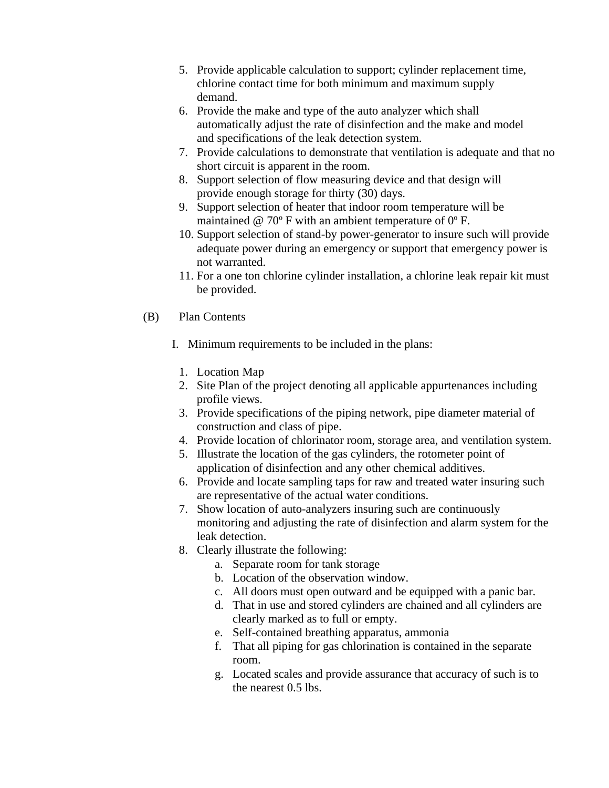- 5. Provide applicable calculation to support; cylinder replacement time, chlorine contact time for both minimum and maximum supply demand.
- 6. Provide the make and type of the auto analyzer which shall automatically adjust the rate of disinfection and the make and model and specifications of the leak detection system.
- 7. Provide calculations to demonstrate that ventilation is adequate and that no short circuit is apparent in the room.
- 8. Support selection of flow measuring device and that design will provide enough storage for thirty (30) days.
- 9. Support selection of heater that indoor room temperature will be maintained @ 70º F with an ambient temperature of 0º F.
- 10. Support selection of stand-by power-generator to insure such will provide adequate power during an emergency or support that emergency power is not warranted.
- 11. For a one ton chlorine cylinder installation, a chlorine leak repair kit must be provided.
- (B) Plan Contents
	- I. Minimum requirements to be included in the plans:
		- 1. Location Map
		- 2. Site Plan of the project denoting all applicable appurtenances including profile views.
		- 3. Provide specifications of the piping network, pipe diameter material of construction and class of pipe.
		- 4. Provide location of chlorinator room, storage area, and ventilation system.
		- 5. Illustrate the location of the gas cylinders, the rotometer point of application of disinfection and any other chemical additives.
		- 6. Provide and locate sampling taps for raw and treated water insuring such are representative of the actual water conditions.
		- 7. Show location of auto-analyzers insuring such are continuously monitoring and adjusting the rate of disinfection and alarm system for the leak detection.
		- 8. Clearly illustrate the following:
			- a. Separate room for tank storage
			- b. Location of the observation window.
			- c. All doors must open outward and be equipped with a panic bar.
			- d. That in use and stored cylinders are chained and all cylinders are clearly marked as to full or empty.
			- e. Self-contained breathing apparatus, ammonia
			- f. That all piping for gas chlorination is contained in the separate room.
			- g. Located scales and provide assurance that accuracy of such is to the nearest 0.5 lbs.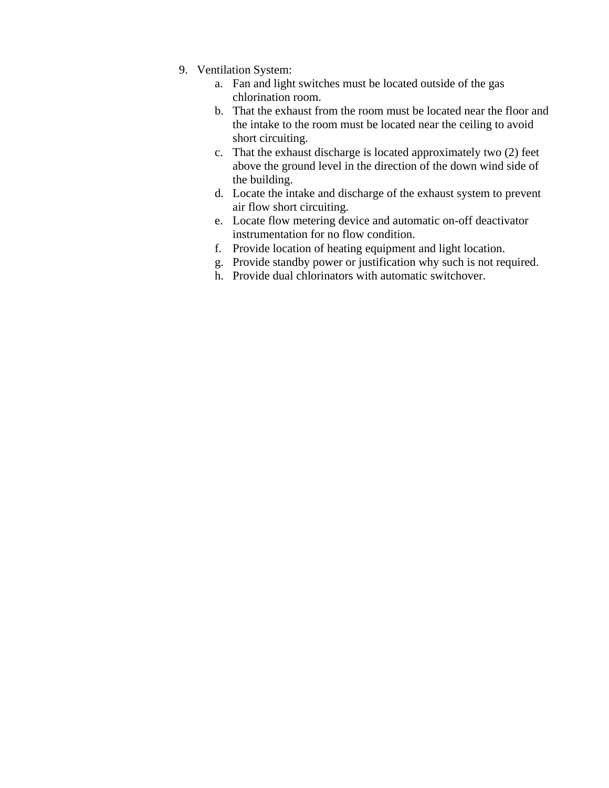- 9. Ventilation System:
	- a. Fan and light switches must be located outside of the gas chlorination room.
	- b. That the exhaust from the room must be located near the floor and the intake to the room must be located near the ceiling to avoid short circuiting.
	- c. That the exhaust discharge is located approximately two (2) feet above the ground level in the direction of the down wind side of the building.
	- d. Locate the intake and discharge of the exhaust system to prevent air flow short circuiting.
	- e. Locate flow metering device and automatic on-off deactivator instrumentation for no flow condition.
	- f. Provide location of heating equipment and light location.
	- g. Provide standby power or justification why such is not required.
	- h. Provide dual chlorinators with automatic switchover.